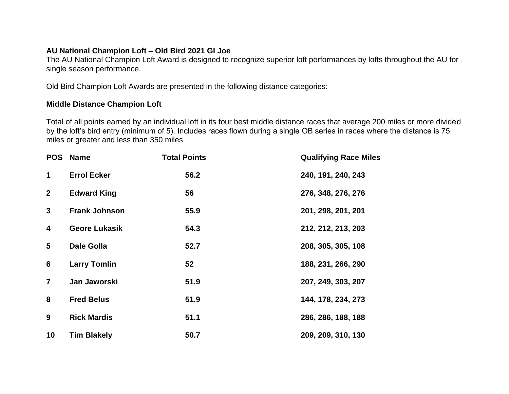## **AU National Champion Loft – Old Bird 2021 GI Joe**

The AU National Champion Loft Award is designed to recognize superior loft performances by lofts throughout the AU for single season performance.

Old Bird Champion Loft Awards are presented in the following distance categories:

## **Middle Distance Champion Loft**

Total of all points earned by an individual loft in its four best middle distance races that average 200 miles or more divided by the loft's bird entry (minimum of 5). Includes races flown during a single OB series in races where the distance is 75 miles or greater and less than 350 miles

| <b>POS</b>              | <b>Name</b>          | <b>Total Points</b> | <b>Qualifying Race Miles</b> |
|-------------------------|----------------------|---------------------|------------------------------|
| $\mathbf 1$             | <b>Errol Ecker</b>   | 56.2                | 240, 191, 240, 243           |
| $\mathbf{2}$            | <b>Edward King</b>   | 56                  | 276, 348, 276, 276           |
| 3                       | <b>Frank Johnson</b> | 55.9                | 201, 298, 201, 201           |
| 4                       | <b>Geore Lukasik</b> | 54.3                | 212, 212, 213, 203           |
| $\overline{\mathbf{5}}$ | <b>Dale Golla</b>    | 52.7                | 208, 305, 305, 108           |
| $6\phantom{1}$          | <b>Larry Tomlin</b>  | 52                  | 188, 231, 266, 290           |
| $\overline{7}$          | Jan Jaworski         | 51.9                | 207, 249, 303, 207           |
| 8                       | <b>Fred Belus</b>    | 51.9                | 144, 178, 234, 273           |
| 9                       | <b>Rick Mardis</b>   | 51.1                | 286, 286, 188, 188           |
| 10                      | <b>Tim Blakely</b>   | 50.7                | 209, 209, 310, 130           |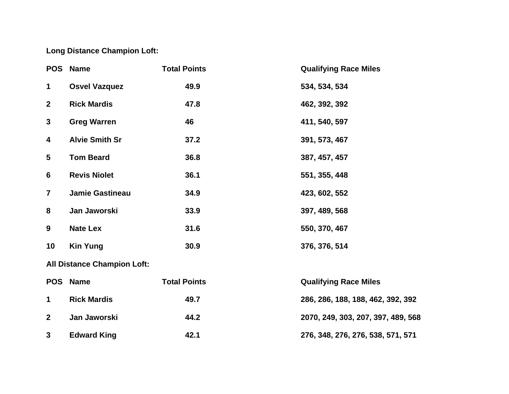## **Long Distance Champion Loft:**

| <b>POS</b>                         | <b>Name</b>           | <b>Total Points</b> | <b>Qualifying Race Miles</b>       |  |  |  |
|------------------------------------|-----------------------|---------------------|------------------------------------|--|--|--|
| $\mathbf 1$                        | <b>Osvel Vazquez</b>  | 49.9                | 534, 534, 534                      |  |  |  |
| $\boldsymbol{2}$                   | <b>Rick Mardis</b>    | 47.8                | 462, 392, 392                      |  |  |  |
| $\mathbf{3}$                       | <b>Greg Warren</b>    | 46                  | 411, 540, 597                      |  |  |  |
| 4                                  | <b>Alvie Smith Sr</b> | 37.2                | 391, 573, 467                      |  |  |  |
| $\overline{\mathbf{5}}$            | <b>Tom Beard</b>      | 36.8                | 387, 457, 457                      |  |  |  |
| 6                                  | <b>Revis Niolet</b>   | 36.1                | 551, 355, 448                      |  |  |  |
| $\overline{\mathbf{7}}$            | Jamie Gastineau       | 34.9                | 423, 602, 552                      |  |  |  |
| 8                                  | Jan Jaworski          | 33.9                | 397, 489, 568                      |  |  |  |
| 9                                  | <b>Nate Lex</b>       | 31.6                | 550, 370, 467                      |  |  |  |
| 10                                 | <b>Kin Yung</b>       | 30.9                | 376, 376, 514                      |  |  |  |
| <b>All Distance Champion Loft:</b> |                       |                     |                                    |  |  |  |
| <b>POS</b>                         | <b>Name</b>           | <b>Total Points</b> | <b>Qualifying Race Miles</b>       |  |  |  |
| $\mathbf 1$                        | <b>Rick Mardis</b>    | 49.7                | 286, 286, 188, 188, 462, 392, 392  |  |  |  |
| $\mathbf{2}$                       | Jan Jaworski          | 44.2                | 2070, 249, 303, 207, 397, 489, 568 |  |  |  |
| 3                                  | <b>Edward King</b>    | 42.1                | 276, 348, 276, 276, 538, 571, 571  |  |  |  |